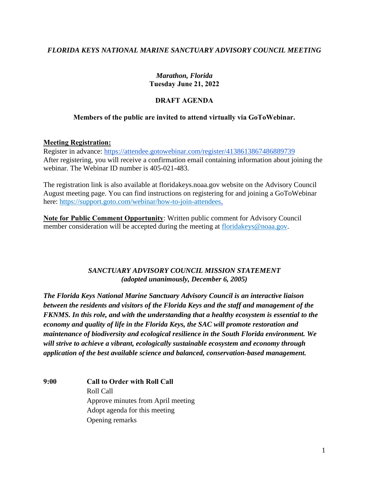## *FLORIDA KEYS NATIONAL MARINE SANCTUARY ADVISORY COUNCIL MEETING*

#### *Marathon, Florida*  **Tuesday June 21, 2022**

# **DRAFT AGENDA**

## **Members of the public are invited to attend virtually via GoToWebinar.**

#### **Meeting Registration:**

Register in advance:<https://attendee.gotowebinar.com/register/4138613867486889739> After registering, you will receive a confirmation email containing information about joining the webinar. The Webinar ID number is 405-021-483.

The registration link is also available at [floridakeys.noaa.gov](https://floridakeys.noaa.gov) website on the Advisory Council August meeting page. You can find instructions on registering for and joining a GoToWebinar here: https://support.goto.com/webinar/how-to-join-attendees.

**Note for Public Comment Opportunity**: Written public comment for Advisory Council member consideration will be accepted during the meeting at floridakeys@noaa.gov.

### *SANCTUARY ADVISORY COUNCIL MISSION STATEMENT (adopted unanimously, December 6, 2005)*

*The Florida Keys National Marine Sanctuary Advisory Council is an interactive liaison between the residents and visitors of the Florida Keys and the staff and management of the FKNMS. In this role, and with the understanding that a healthy ecosystem is essential to the economy and quality of life in the Florida Keys, the SAC will promote restoration and maintenance of biodiversity and ecological resilience in the South Florida environment. We will strive to achieve a vibrant, ecologically sustainable ecosystem and economy through application of the best available science and balanced, conservation-based management.* 

**9:00 Call to Order with Roll Call**  Roll Call Approve minutes from April meeting Adopt agenda for this meeting Opening remarks